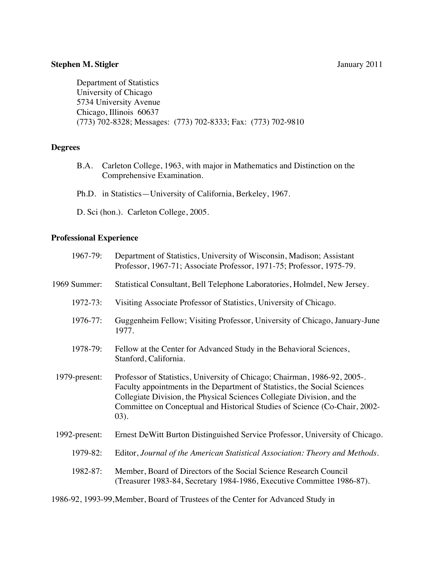# **Stephen M. Stigler** January 2011

Department of Statistics University of Chicago 5734 University Avenue Chicago, Illinois 60637 (773) 702-8328; Messages: (773) 702-8333; Fax: (773) 702-9810

# **Degrees**

- B.A. Carleton College, 1963, with major in Mathematics and Distinction on the Comprehensive Examination.
- Ph.D. in Statistics—University of California, Berkeley, 1967.

D. Sci (hon.). Carleton College, 2005.

### **Professional Experience**

| 1967-79:      | Department of Statistics, University of Wisconsin, Madison; Assistant<br>Professor, 1967-71; Associate Professor, 1971-75; Professor, 1975-79.                                                                                                                                                                              |
|---------------|-----------------------------------------------------------------------------------------------------------------------------------------------------------------------------------------------------------------------------------------------------------------------------------------------------------------------------|
| 1969 Summer:  | Statistical Consultant, Bell Telephone Laboratories, Holmdel, New Jersey.                                                                                                                                                                                                                                                   |
| 1972-73:      | Visiting Associate Professor of Statistics, University of Chicago.                                                                                                                                                                                                                                                          |
| 1976-77:      | Guggenheim Fellow; Visiting Professor, University of Chicago, January-June<br>1977.                                                                                                                                                                                                                                         |
| 1978-79:      | Fellow at the Center for Advanced Study in the Behavioral Sciences,<br>Stanford, California.                                                                                                                                                                                                                                |
| 1979-present: | Professor of Statistics, University of Chicago; Chairman, 1986-92, 2005-.<br>Faculty appointments in the Department of Statistics, the Social Sciences<br>Collegiate Division, the Physical Sciences Collegiate Division, and the<br>Committee on Conceptual and Historical Studies of Science (Co-Chair, 2002-<br>$(03)$ . |
| 1992-present: | Ernest De Witt Burton Distinguished Service Professor, University of Chicago.                                                                                                                                                                                                                                               |
| 1979-82:      | Editor, Journal of the American Statistical Association: Theory and Methods.                                                                                                                                                                                                                                                |
| 1982-87:      | Member, Board of Directors of the Social Science Research Council<br>(Treasurer 1983-84, Secretary 1984-1986, Executive Committee 1986-87).                                                                                                                                                                                 |
|               |                                                                                                                                                                                                                                                                                                                             |

1986-92, 1993-99,Member, Board of Trustees of the Center for Advanced Study in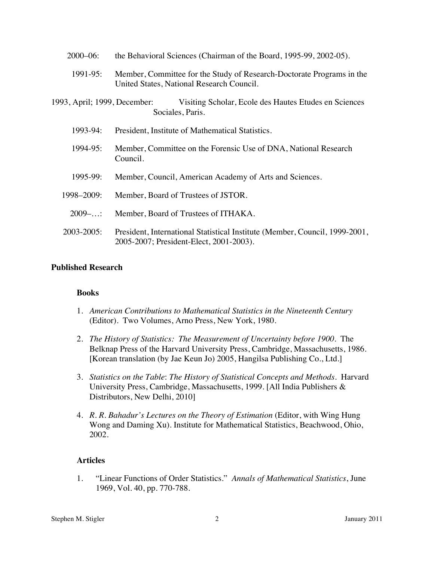| $2000 - 06$ :                | the Behavioral Sciences (Chairman of the Board, 1995-99, 2002-05).                                                     |
|------------------------------|------------------------------------------------------------------------------------------------------------------------|
| 1991-95:                     | Member, Committee for the Study of Research-Doctorate Programs in the<br>United States, National Research Council.     |
| 1993, April; 1999, December: | Visiting Scholar, Ecole des Hautes Etudes en Sciences<br>Sociales, Paris.                                              |
| 1993-94:                     | President, Institute of Mathematical Statistics.                                                                       |
| 1994-95:                     | Member, Committee on the Forensic Use of DNA, National Research<br>Council.                                            |
| 1995-99:                     | Member, Council, American Academy of Arts and Sciences.                                                                |
| 1998-2009:                   | Member, Board of Trustees of JSTOR.                                                                                    |
| $2009-.$                     | Member, Board of Trustees of ITHAKA.                                                                                   |
| 2003-2005:                   | President, International Statistical Institute (Member, Council, 1999-2001,<br>2005-2007; President-Elect, 2001-2003). |

# **Published Research**

# **Books**

- 1. *American Contributions to Mathematical Statistics in the Nineteenth Century* (Editor). Two Volumes, Arno Press, New York, 1980.
- 2. *The History of Statistics: The Measurement of Uncertainty before 1900*. The Belknap Press of the Harvard University Press, Cambridge, Massachusetts, 1986. [Korean translation (by Jae Keun Jo) 2005, Hangilsa Publishing Co., Ltd.]
- 3. *Statistics on the Table*: *The History of Statistical Concepts and Methods.* Harvard University Press, Cambridge, Massachusetts, 1999. [All India Publishers & Distributors, New Delhi, 2010]
- 4. *R. R. Bahadur's Lectures on the Theory of Estimation* (Editor, with Wing Hung Wong and Daming Xu). Institute for Mathematical Statistics, Beachwood, Ohio, 2002.

# **Articles**

1. "Linear Functions of Order Statistics." *Annals of Mathematical Statistics*, June 1969, Vol. 40, pp. 770-788.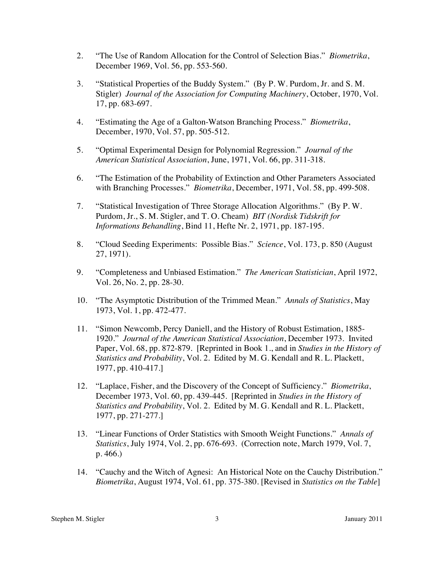- 2. "The Use of Random Allocation for the Control of Selection Bias." *Biometrika*, December 1969, Vol. 56, pp. 553-560.
- 3. "Statistical Properties of the Buddy System." (By P. W. Purdom, Jr. and S. M. Stigler) *Journal of the Association for Computing Machinery*, October, 1970, Vol. 17, pp. 683-697.
- 4. "Estimating the Age of a Galton-Watson Branching Process." *Biometrika*, December, 1970, Vol. 57, pp. 505-512.
- 5. "Optimal Experimental Design for Polynomial Regression." *Journal of the American Statistical Association*, June, 1971, Vol. 66, pp. 311-318.
- 6. "The Estimation of the Probability of Extinction and Other Parameters Associated with Branching Processes." *Biometrika*, December, 1971, Vol. 58, pp. 499-508.
- 7. "Statistical Investigation of Three Storage Allocation Algorithms." (By P. W. Purdom, Jr., S. M. Stigler, and T. O. Cheam) *BIT (Nordisk Tidskrift for Informations Behandling*, Bind 11, Hefte Nr. 2, 1971, pp. 187-195.
- 8. "Cloud Seeding Experiments: Possible Bias." *Science*, Vol. 173, p. 850 (August 27, 1971).
- 9. "Completeness and Unbiased Estimation." *The American Statistician*, April 1972, Vol. 26, No. 2, pp. 28-30.
- 10. "The Asymptotic Distribution of the Trimmed Mean." *Annals of Statistics*, May 1973, Vol. 1, pp. 472-477.
- 11. "Simon Newcomb, Percy Daniell, and the History of Robust Estimation, 1885- 1920." *Journal of the American Statistical Association*, December 1973. Invited Paper, Vol. 68, pp. 872-879. [Reprinted in Book 1., and in *Studies in the History of Statistics and Probability*, Vol. 2. Edited by M. G. Kendall and R. L. Plackett, 1977, pp. 410-417.]
- 12. "Laplace, Fisher, and the Discovery of the Concept of Sufficiency." *Biometrika*, December 1973, Vol. 60, pp. 439-445. [Reprinted in *Studies in the History of Statistics and Probability*, Vol. 2. Edited by M. G. Kendall and R. L. Plackett, 1977, pp. 271-277.]
- 13. "Linear Functions of Order Statistics with Smooth Weight Functions." *Annals of Statistics*, July 1974, Vol. 2, pp. 676-693. (Correction note, March 1979, Vol. 7, p. 466.)
- 14. "Cauchy and the Witch of Agnesi: An Historical Note on the Cauchy Distribution." *Biometrika*, August 1974, Vol. 61, pp. 375-380. [Revised in *Statistics on the Table*]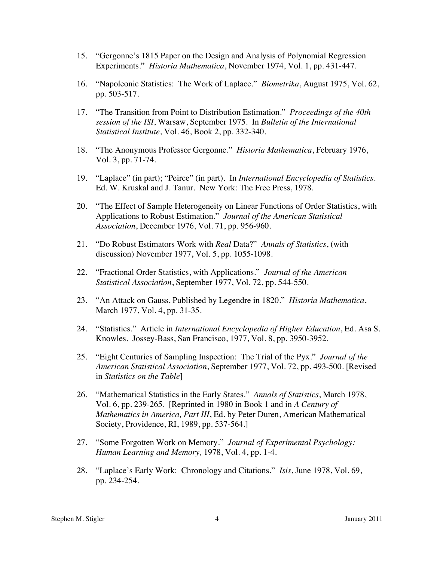- 15. "Gergonne's 1815 Paper on the Design and Analysis of Polynomial Regression Experiments." *Historia Mathematica*, November 1974, Vol. 1, pp. 431-447.
- 16. "Napoleonic Statistics: The Work of Laplace." *Biometrika*, August 1975, Vol. 62, pp. 503-517.
- 17. "The Transition from Point to Distribution Estimation." *Proceedings of the 40th session of the ISI*, Warsaw, September 1975. In *Bulletin of the International Statistical Institute*, Vol. 46, Book 2, pp. 332-340.
- 18. "The Anonymous Professor Gergonne." *Historia Mathematica*, February 1976, Vol. 3, pp. 71-74.
- 19. "Laplace" (in part); "Peirce" (in part). In *International Encyclopedia of Statistics*. Ed. W. Kruskal and J. Tanur. New York: The Free Press, 1978.
- 20. "The Effect of Sample Heterogeneity on Linear Functions of Order Statistics, with Applications to Robust Estimation." *Journal of the American Statistical Association*, December 1976, Vol. 71, pp. 956-960.
- 21. "Do Robust Estimators Work with *Real* Data?" *Annals of Statistics*, (with discussion) November 1977, Vol. 5, pp. 1055-1098.
- 22. "Fractional Order Statistics, with Applications." *Journal of the American Statistical Association*, September 1977, Vol. 72, pp. 544-550.
- 23. "An Attack on Gauss, Published by Legendre in 1820." *Historia Mathematica*, March 1977, Vol. 4, pp. 31-35.
- 24. "Statistics." Article in *International Encyclopedia of Higher Education*, Ed. Asa S. Knowles. Jossey-Bass, San Francisco, 1977, Vol. 8, pp. 3950-3952.
- 25. "Eight Centuries of Sampling Inspection: The Trial of the Pyx." *Journal of the American Statistical Association*, September 1977, Vol. 72, pp. 493-500. [Revised in *Statistics on the Table*]
- 26. "Mathematical Statistics in the Early States." *Annals of Statistics*, March 1978, Vol. 6, pp. 239-265. [Reprinted in 1980 in Book 1 and in *A Century of Mathematics in America, Part III*, Ed. by Peter Duren, American Mathematical Society, Providence, RI, 1989, pp. 537-564.]
- 27. "Some Forgotten Work on Memory." *Journal of Experimental Psychology: Human Learning and Memory,* 1978, Vol. 4, pp. 1-4.
- 28. "Laplace's Early Work: Chronology and Citations." *Isis*, June 1978, Vol. 69, pp. 234-254.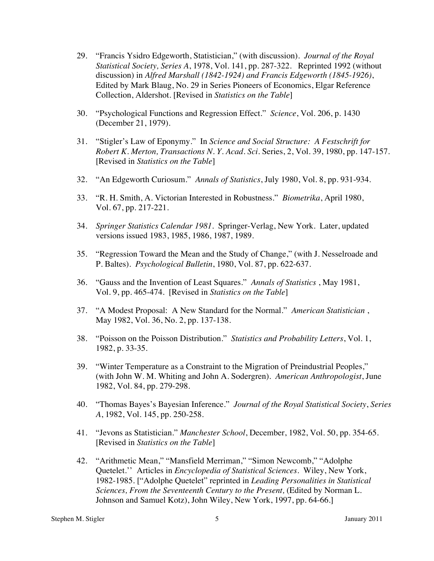- 29. "Francis Ysidro Edgeworth, Statistician," (with discussion). *Journal of the Royal Statistical Society, Series A*, 1978, Vol. 141, pp. 287-322. Reprinted 1992 (without discussion) in *Alfred Marshall (1842-1924) and Francis Edgeworth (1845-1926)*, Edited by Mark Blaug, No. 29 in Series Pioneers of Economics, Elgar Reference Collection, Aldershot. [Revised in *Statistics on the Table*]
- 30. "Psychological Functions and Regression Effect." *Science*, Vol. 206, p. 1430 (December 21, 1979).
- 31. "Stigler's Law of Eponymy." In *Science and Social Structure: A Festschrift for Robert K. Merton, Transactions N. Y. Acad. Sci.* Series, 2, Vol. 39, 1980, pp. 147-157. [Revised in *Statistics on the Table*]
- 32. "An Edgeworth Curiosum." *Annals of Statistics*, July 1980, Vol. 8, pp. 931-934.
- 33. "R. H. Smith, A. Victorian Interested in Robustness." *Biometrika*, April 1980, Vol. 67, pp. 217-221.
- 34. *Springer Statistics Calendar 1981.* Springer-Verlag, New York. Later, updated versions issued 1983, 1985, 1986, 1987, 1989.
- 35. "Regression Toward the Mean and the Study of Change," (with J. Nesselroade and P. Baltes). *Psychological Bulletin*, 1980, Vol. 87, pp. 622-637.
- 36. "Gauss and the Invention of Least Squares." *Annals of Statistics* , May 1981, Vol. 9, pp. 465-474. [Revised in *Statistics on the Table*]
- 37. "A Modest Proposal: A New Standard for the Normal." *American Statistician* , May 1982, Vol. 36, No. 2, pp. 137-138.
- 38. "Poisson on the Poisson Distribution." *Statistics and Probability Letters*, Vol. 1, 1982, p. 33-35.
- 39. "Winter Temperature as a Constraint to the Migration of Preindustrial Peoples," (with John W. M. Whiting and John A. Sodergren). *American Anthropologist*, June 1982, Vol. 84, pp. 279-298.
- 40. "Thomas Bayes's Bayesian Inference." *Journal of the Royal Statistical Society*, *Series A*, 1982, Vol. 145, pp. 250-258.
- 41. "Jevons as Statistician." *Manchester School*, December, 1982, Vol. 50, pp. 354-65. [Revised in *Statistics on the Table*]
- 42. "Arithmetic Mean," "Mansfield Merriman," "Simon Newcomb," "Adolphe Quetelet.'' Articles in *Encyclopedia of Statistical Sciences*. Wiley, New York, 1982-1985. ["Adolphe Quetelet" reprinted in *Leading Personalities in Statistical Sciences, From the Seventeenth Century to the Present,* (Edited by Norman L. Johnson and Samuel Kotz), John Wiley, New York, 1997, pp. 64-66.]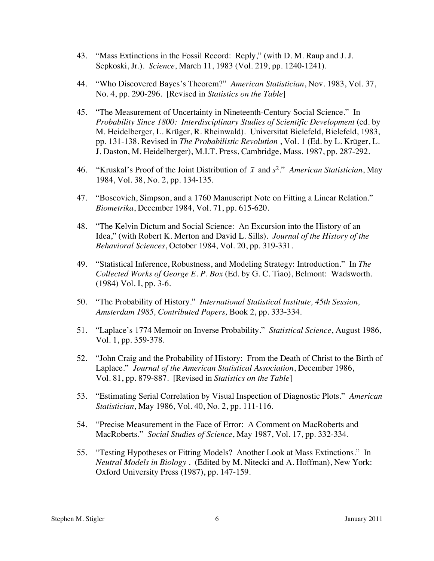- 43. "Mass Extinctions in the Fossil Record: Reply," (with D. M. Raup and J. J. Sepkoski, Jr.). *Science*, March 11, 1983 (Vol. 219, pp. 1240-1241).
- 44. "Who Discovered Bayes's Theorem?" *American Statistician*, Nov. 1983, Vol. 37, No. 4, pp. 290-296. [Revised in *Statistics on the Table*]
- 45. "The Measurement of Uncertainty in Nineteenth-Century Social Science." In *Probability Since 1800: Interdisciplinary Studies of Scientific Development* (ed. by M. Heidelberger, L. Krüger, R. Rheinwald). Universitat Bielefeld, Bielefeld, 1983, pp. 131-138. Revised in *The Probabilistic Revolution* , Vol. 1 (Ed. by L. Krüger, L. J. Daston, M. Heidelberger), M.I.T. Press, Cambridge, Mass. 1987, pp. 287-292.
- 46. "Kruskal's Proof of the Joint Distribution of  $\bar{x}$  and  $s^2$ ." *American Statistician*, May 1984, Vol. 38, No. 2, pp. 134-135.
- 47. "Boscovich, Simpson, and a 1760 Manuscript Note on Fitting a Linear Relation." *Biometrika*, December 1984, Vol. 71, pp. 615-620.
- 48. "The Kelvin Dictum and Social Science: An Excursion into the History of an Idea," (with Robert K. Merton and David L. Sills). *Journal of the History of the Behavioral Sciences*, October 1984, Vol. 20, pp. 319-331.
- 49. "Statistical Inference, Robustness, and Modeling Strategy: Introduction." In *The Collected Works of George E. P. Box* (Ed. by G. C. Tiao), Belmont: Wadsworth. (1984) Vol. I, pp. 3-6.
- 50. "The Probability of History." *International Statistical Institute, 45th Session, Amsterdam 1985, Contributed Papers,* Book 2, pp. 333-334.
- 51. "Laplace's 1774 Memoir on Inverse Probability." *Statistical Science*, August 1986, Vol. 1, pp. 359-378.
- 52. "John Craig and the Probability of History: From the Death of Christ to the Birth of Laplace." *Journal of the American Statistical Association*, December 1986, Vol. 81, pp. 879-887. [Revised in *Statistics on the Table*]
- 53. "Estimating Serial Correlation by Visual Inspection of Diagnostic Plots." *American Statistician*, May 1986, Vol. 40, No. 2, pp. 111-116.
- 54. "Precise Measurement in the Face of Error: A Comment on MacRoberts and MacRoberts." *Social Studies of Science*, May 1987, Vol. 17, pp. 332-334.
- 55. "Testing Hypotheses or Fitting Models? Another Look at Mass Extinctions." In *Neutral Models in Biology* . (Edited by M. Nitecki and A. Hoffman), New York: Oxford University Press (1987), pp. 147-159.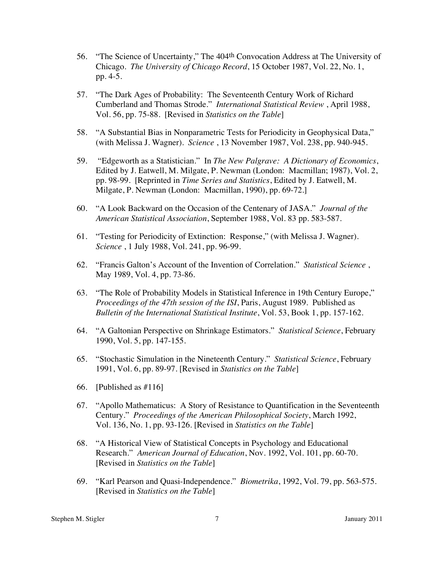- 56. "The Science of Uncertainty," The 404th Convocation Address at The University of Chicago. *The University of Chicago Record*, 15 October 1987, Vol. 22, No. 1, pp. 4-5.
- 57. "The Dark Ages of Probability: The Seventeenth Century Work of Richard Cumberland and Thomas Strode." *International Statistical Review* , April 1988, Vol. 56, pp. 75-88. [Revised in *Statistics on the Table*]
- 58. "A Substantial Bias in Nonparametric Tests for Periodicity in Geophysical Data," (with Melissa J. Wagner). *Science* , 13 November 1987, Vol. 238, pp. 940-945.
- 59. "Edgeworth as a Statistician." In *The New Palgrave: A Dictionary of Economics*, Edited by J. Eatwell, M. Milgate, P. Newman (London: Macmillan; 1987), Vol. 2, pp. 98-99. [Reprinted in *Time Series and Statistics*, Edited by J. Eatwell, M. Milgate, P. Newman (London: Macmillan, 1990), pp. 69-72.]
- 60. "A Look Backward on the Occasion of the Centenary of JASA." *Journal of the American Statistical Association*, September 1988, Vol. 83 pp. 583-587.
- 61. "Testing for Periodicity of Extinction: Response," (with Melissa J. Wagner). *Science* , 1 July 1988, Vol. 241, pp. 96-99.
- 62. "Francis Galton's Account of the Invention of Correlation." *Statistical Science* , May 1989, Vol. 4, pp. 73-86.
- 63. "The Role of Probability Models in Statistical Inference in 19th Century Europe," *Proceedings of the 47th session of the ISI*, Paris, August 1989. Published as *Bulletin of the International Statistical Institute*, Vol. 53, Book 1, pp. 157-162.
- 64. "A Galtonian Perspective on Shrinkage Estimators." *Statistical Science*, February 1990, Vol. 5, pp. 147-155.
- 65. "Stochastic Simulation in the Nineteenth Century." *Statistical Science*, February 1991, Vol. 6, pp. 89-97. [Revised in *Statistics on the Table*]
- 66. [Published as #116]
- 67. "Apollo Mathematicus: A Story of Resistance to Quantification in the Seventeenth Century." *Proceedings of the American Philosophical Society*, March 1992, Vol. 136, No. 1, pp. 93-126. [Revised in *Statistics on the Table*]
- 68. "A Historical View of Statistical Concepts in Psychology and Educational Research." *American Journal of Education*, Nov. 1992, Vol. 101, pp. 60-70. [Revised in *Statistics on the Table*]
- 69. "Karl Pearson and Quasi-Independence." *Biometrika*, 1992, Vol. 79, pp. 563-575. [Revised in *Statistics on the Table*]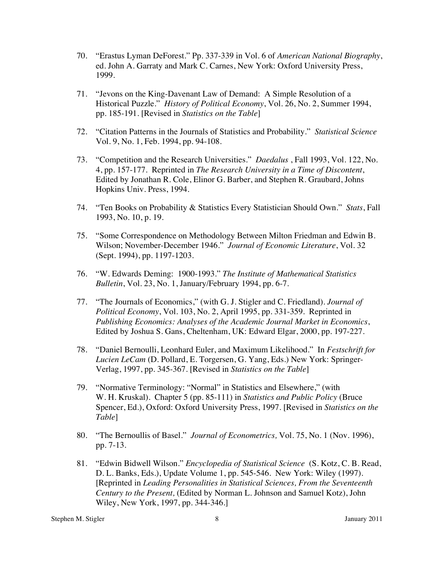- 70. "Erastus Lyman DeForest." Pp. 337-339 in Vol. 6 of *American National Biography*, ed. John A. Garraty and Mark C. Carnes, New York: Oxford University Press, 1999.
- 71. "Jevons on the King-Davenant Law of Demand: A Simple Resolution of a Historical Puzzle." *History of Political Economy*, Vol. 26, No. 2, Summer 1994, pp. 185-191. [Revised in *Statistics on the Table*]
- 72. "Citation Patterns in the Journals of Statistics and Probability." *Statistical Science* Vol. 9, No. 1, Feb. 1994, pp. 94-108.
- 73. "Competition and the Research Universities." *Daedalus* , Fall 1993, Vol. 122, No. 4, pp. 157-177. Reprinted in *The Research University in a Time of Discontent*, Edited by Jonathan R. Cole, Elinor G. Barber, and Stephen R. Graubard, Johns Hopkins Univ. Press, 1994.
- 74. "Ten Books on Probability & Statistics Every Statistician Should Own." *Stats*, Fall 1993, No. 10, p. 19.
- 75. "Some Correspondence on Methodology Between Milton Friedman and Edwin B. Wilson; November-December 1946." *Journal of Economic Literature*, Vol. 32 (Sept. 1994), pp. 1197-1203.
- 76. "W. Edwards Deming: 1900-1993." *The Institute of Mathematical Statistics Bulletin*, Vol. 23, No. 1, January/February 1994, pp. 6-7.
- 77. "The Journals of Economics," (with G. J. Stigler and C. Friedland). *Journal of Political Economy*, Vol. 103, No. 2, April 1995, pp. 331-359. Reprinted in *Publishing Economics: Analyses of the Academic Journal Market in Economics*, Edited by Joshua S. Gans, Cheltenham, UK: Edward Elgar, 2000, pp. 197-227.
- 78. "Daniel Bernoulli, Leonhard Euler, and Maximum Likelihood." In *Festschrift for Lucien LeCam* (D. Pollard, E. Torgersen, G. Yang, Eds.) New York: Springer-Verlag, 1997, pp. 345-367. [Revised in *Statistics on the Table*]
- 79. "Normative Terminology: "Normal" in Statistics and Elsewhere," (with W. H. Kruskal). Chapter 5 (pp. 85-111) in *Statistics and Public Policy* (Bruce Spencer, Ed.), Oxford: Oxford University Press, 1997. [Revised in *Statistics on the Table*]
- 80. "The Bernoullis of Basel." *Journal of Econometrics,* Vol. 75, No. 1 (Nov. 1996), pp. 7-13.
- 81. "Edwin Bidwell Wilson." *Encyclopedia of Statistical Science* (S. Kotz, C. B. Read, D. L. Banks, Eds.), Update Volume 1, pp. 545-546. New York: Wiley (1997). [Reprinted in *Leading Personalities in Statistical Sciences, From the Seventeenth Century to the Present,* (Edited by Norman L. Johnson and Samuel Kotz), John Wiley, New York, 1997, pp. 344-346.]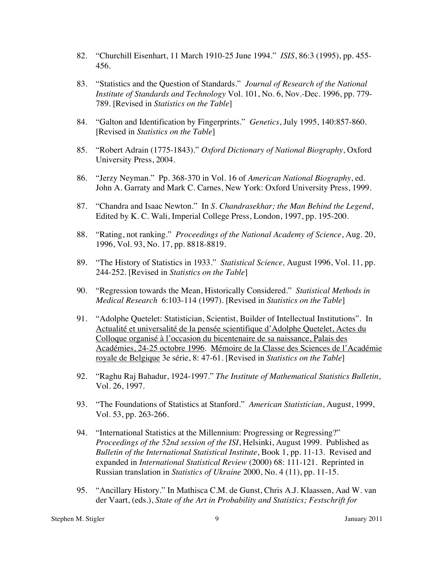- 82. "Churchill Eisenhart, 11 March 1910-25 June 1994." *ISIS*, 86:3 (1995), pp. 455- 456.
- 83. "Statistics and the Question of Standards." *Journal of Research of the National Institute of Standards and Technology* Vol. 101, No. 6, Nov.-Dec. 1996, pp. 779- 789. [Revised in *Statistics on the Table*]
- 84. "Galton and Identification by Fingerprints." *Genetics*, July 1995, 140:857-860. [Revised in *Statistics on the Table*]
- 85. "Robert Adrain (1775-1843)." *Oxford Dictionary of National Biography*, Oxford University Press, 2004*.*
- 86. "Jerzy Neyman." Pp. 368-370 in Vol. 16 of *American National Biography*, ed. John A. Garraty and Mark C. Carnes, New York: Oxford University Press, 1999.
- 87. "Chandra and Isaac Newton." In *S. Chandrasekhar; the Man Behind the Legend*, Edited by K. C. Wali, Imperial College Press, London, 1997, pp. 195-200.
- 88. "Rating, not ranking." *Proceedings of the National Academy of Science*, Aug. 20, 1996, Vol. 93, No. 17, pp. 8818-8819.
- 89. "The History of Statistics in 1933." *Statistical Science,* August 1996, Vol. 11, pp. 244-252. [Revised in *Statistics on the Table*]
- 90. "Regression towards the Mean, Historically Considered." *Statistical Methods in Medical Research* 6:103-114 (1997). [Revised in *Statistics on the Table*]
- 91. "Adolphe Quetelet: Statistician, Scientist, Builder of Intellectual Institutions". In Actualité et universalité de la pensée scientifique d'Adolphe Quetelet, Actes du Colloque organisé à l'occasion du bicentenaire de sa naissance, Palais des Académies, 24-25 octobre 1996. Mémoire de la Classe des Sciences de l'Académie royale de Belgique 3e série, 8: 47-61. [Revised in *Statistics on the Table*]
- 92. "Raghu Raj Bahadur, 1924-1997." *The Institute of Mathematical Statistics Bulletin*, Vol. 26, 1997.
- 93. "The Foundations of Statistics at Stanford." *American Statistician*, August, 1999, Vol. 53, pp. 263-266.
- 94. "International Statistics at the Millennium: Progressing or Regressing?" *Proceedings of the 52nd session of the ISI*, Helsinki, August 1999. Published as *Bulletin of the International Statistical Institute*, Book 1, pp. 11-13. Revised and expanded in *International Statistical Review* (2000) 68: 111-121. Reprinted in Russian translation in *Statistics of Ukraine* 2000, No. 4 (11), pp. 11-15.
- 95. "Ancillary History." In Mathisca C.M. de Gunst, Chris A.J. Klaassen, Aad W. van der Vaart, (eds.), *State of the Art in Probability and Statistics; Festschrift for*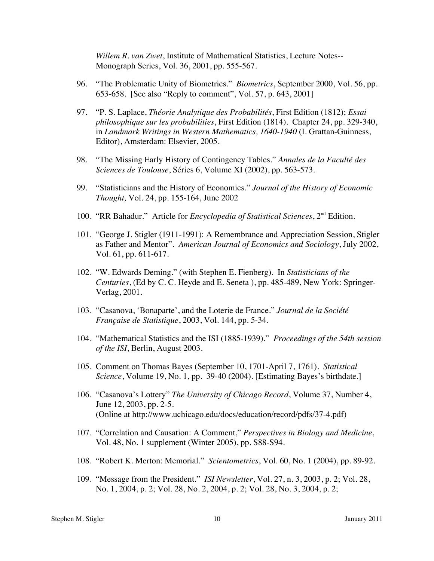*Willem R. van Zwet*, Institute of Mathematical Statistics, Lecture Notes-- Monograph Series, Vol. 36, 2001, pp. 555-567.

- 96. "The Problematic Unity of Biometrics." *Biometrics*, September 2000, Vol. 56, pp. 653-658. [See also "Reply to comment", Vol. 57, p. 643, 2001]
- 97. "P. S. Laplace, *Théorie Analytique des Probabilités*, First Edition (1812); *Essai philosophique sur les probabilities*, First Edition (1814). Chapter 24, pp. 329-340, in *Landmark Writings in Western Mathematics, 1640-1940* (I. Grattan-Guinness, Editor), Amsterdam: Elsevier, 2005.
- 98. "The Missing Early History of Contingency Tables." *Annales de la Faculté des Sciences de Toulouse*, Séries 6, Volume XI (2002), pp. 563-573.
- 99. "Statisticians and the History of Economics." *Journal of the History of Economic Thought,* Vol. 24, pp. 155-164, June 2002
- 100. "RR Bahadur." Article for *Encyclopedia of Statistical Sciences*, 2nd Edition.
- 101. "George J. Stigler (1911-1991): A Remembrance and Appreciation Session, Stigler as Father and Mentor". *American Journal of Economics and Sociology*, July 2002, Vol. 61, pp. 611-617.
- 102. "W. Edwards Deming." (with Stephen E. Fienberg). In *Statisticians of the Centuries*, (Ed by C. C. Heyde and E. Seneta ), pp. 485-489, New York: Springer-Verlag, 2001.
- 103. "Casanova, 'Bonaparte', and the Loterie de France." *Journal de la Société Française de Statistique*, 2003, Vol. 144, pp. 5-34.
- 104. "Mathematical Statistics and the ISI (1885-1939)." *Proceedings of the 54th session of the ISI*, Berlin, August 2003.
- 105. Comment on Thomas Bayes (September 10, 1701-April 7, 1761). *Statistical Science*, Volume 19, No. 1, pp. 39-40 (2004). [Estimating Bayes's birthdate.]
- 106. "Casanova's Lottery" *The University of Chicago Record*, Volume 37, Number 4, June 12, 2003, pp. 2-5. (Online at http://www.uchicago.edu/docs/education/record/pdfs/37-4.pdf)
- 107. "Correlation and Causation: A Comment," *Perspectives in Biology and Medicine*, Vol. 48, No. 1 supplement (Winter 2005), pp. S88-S94.
- 108. "Robert K. Merton: Memorial." *Scientometrics*, Vol. 60, No. 1 (2004), pp. 89-92.
- 109. "Message from the President." *ISI Newsletter*, Vol. 27, n. 3, 2003, p. 2; Vol. 28, No. 1, 2004, p. 2; Vol. 28, No. 2, 2004, p. 2; Vol. 28, No. 3, 2004, p. 2;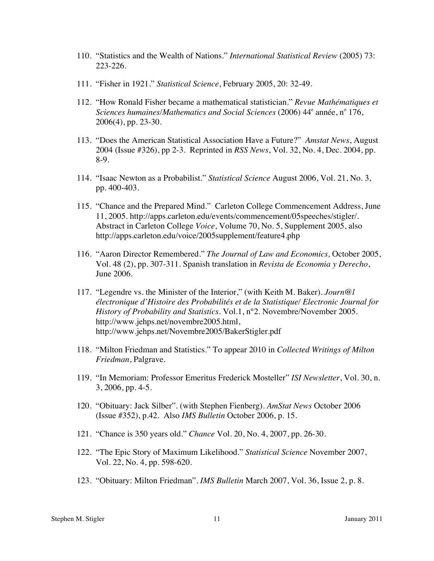- 110. "Statistics and the Wealth of Nations." *International Statistical Review* (2005) 73: 223-226.
- 111. "Fisher in 1921." *Statistical Science*, February 2005, 20: 32-49.
- 112. "How Ronald Fisher became a mathematical statistician." *Revue Mathématiques et*  Sciences humaines/Mathematics and Social Sciences (2006) 44<sup>e</sup> année, n° 176, 2006(4), pp. 23-30.
- 113. "Does the American Statistical Association Have a Future?" *Amstat News*, August 2004 (Issue #326), pp 2-3. Reprinted in *RSS News*, Vol. 32, No. 4, Dec. 2004, pp. 8-9.
- 114. "Isaac Newton as a Probabilist." *Statistical Science* August 2006, Vol. 21, No. 3, pp. 400-403.
- 115. "Chance and the Prepared Mind." Carleton College Commencement Address, June 11, 2005. http://apps.carleton.edu/events/commencement/05speeches/stigler/. Abstract in Carleton College *Voice*, Volume 70, No. 5, Supplement 2005, also http://apps.carleton.edu/voice/2005supplement/feature4.php
- 116. "Aaron Director Remembered." *The Journal of Law and Economics,* October 2005, Vol. 48 (2), pp. 307-311. Spanish translation in *Revista de Economia y Derecho*, June 2006.
- 117. "Legendre vs. the Minister of the Interior," (with Keith M. Baker). *Journ@l électronique d'Histoire des Probabilités et de la Statistique/ Electronic Journal for History of Probability and Statistics*. Vol.1, n°2. Novembre/November 2005. http://www.jehps.net/novembre2005.html, http://www.jehps.net/Novembre2005/BakerStigler.pdf
- 118. "Milton Friedman and Statistics." To appear 2010 in *Collected Writings of Milton Friedman*, Palgrave.
- 119. "In Memoriam: Professor Emeritus Frederick Mosteller" *ISI Newsletter*, Vol. 30, n. 3, 2006, pp. 4-5.
- 120. "Obituary: Jack Silber". (with Stephen Fienberg). *AmStat News* October 2006 (Issue #352), p.42. Also *IMS Bulletin* October 2006, p. 15.
- 121. "Chance is 350 years old." *Chance* Vol. 20, No. 4, 2007, pp. 26-30.
- 122. "The Epic Story of Maximum Likelihood." *Statistical Science* November 2007, Vol. 22, No. 4, pp. 598-620.
- 123. "Obituary: Milton Friedman". *IMS Bulletin* March 2007, Vol. 36, Issue 2, p. 8.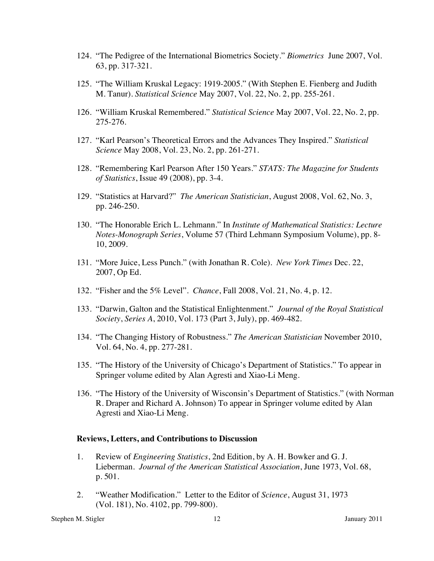- 124. "The Pedigree of the International Biometrics Society." *Biometrics* June 2007, Vol. 63, pp. 317-321.
- 125. "The William Kruskal Legacy: 1919-2005." (With Stephen E. Fienberg and Judith M. Tanur). *Statistical Science* May 2007, Vol. 22, No. 2, pp. 255-261.
- 126. "William Kruskal Remembered." *Statistical Science* May 2007, Vol. 22, No. 2, pp. 275-276.
- 127. "Karl Pearson's Theoretical Errors and the Advances They Inspired." *Statistical Science* May 2008, Vol. 23, No. 2, pp. 261-271.
- 128. "Remembering Karl Pearson After 150 Years." *STATS: The Magazine for Students of Statistics*, Issue 49 (2008), pp. 3-4.
- 129. "Statistics at Harvard?" *The American Statistician*, August 2008, Vol. 62, No. 3, pp. 246-250.
- 130. "The Honorable Erich L. Lehmann." In *Institute of Mathematical Statistics: Lecture Notes-Monograph Series*, Volume 57 (Third Lehmann Symposium Volume), pp. 8- 10, 2009.
- 131. "More Juice, Less Punch." (with Jonathan R. Cole). *New York Times* Dec. 22, 2007, Op Ed.
- 132. "Fisher and the 5% Level". *Chance*, Fall 2008, Vol. 21, No. 4, p. 12.
- 133. "Darwin, Galton and the Statistical Enlightenment." *Journal of the Royal Statistical Society*, *Series A*, 2010, Vol. 173 (Part 3, July), pp. 469-482.
- 134. "The Changing History of Robustness." *The American Statistician* November 2010, Vol. 64, No. 4, pp. 277-281.
- 135. "The History of the University of Chicago's Department of Statistics." To appear in Springer volume edited by Alan Agresti and Xiao-Li Meng.
- 136. "The History of the University of Wisconsin's Department of Statistics." (with Norman R. Draper and Richard A. Johnson) To appear in Springer volume edited by Alan Agresti and Xiao-Li Meng.

#### **Reviews, Letters, and Contributions to Discussion**

- 1. Review of *Engineering Statistics*, 2nd Edition, by A. H. Bowker and G. J. Lieberman. *Journal of the American Statistical Association*, June 1973, Vol. 68, p. 501.
- 2. "Weather Modification." Letter to the Editor of *Science*, August 31, 1973 (Vol. 181), No. 4102, pp. 799-800).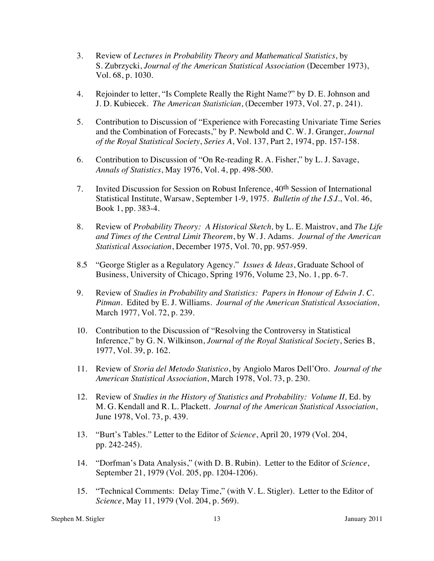- 3. Review of *Lectures in Probability Theory and Mathematical Statistics*, by S. Zubrzycki, *Journal of the American Statistical Association* (December 1973), Vol. 68, p. 1030.
- 4. Rejoinder to letter, "Is Complete Really the Right Name?" by D. E. Johnson and J. D. Kubiecek. *The American Statistician*, (December 1973, Vol. 27, p. 241).
- 5. Contribution to Discussion of "Experience with Forecasting Univariate Time Series and the Combination of Forecasts," by P. Newbold and C. W. J. Granger, *Journal of the Royal Statistical Society*, *Series A*, Vol. 137, Part 2, 1974, pp. 157-158.
- 6. Contribution to Discussion of "On Re-reading R. A. Fisher," by L. J. Savage, *Annals of Statistics*, May 1976, Vol. 4, pp. 498-500.
- 7. Invited Discussion for Session on Robust Inference, 40th Session of International Statistical Institute, Warsaw, September 1-9, 1975. *Bulletin of the I.S.I*., Vol. 46, Book 1, pp. 383-4.
- 8. Review of *Probability Theory: A Historical Sketch,* by L. E. Maistrov, and *The Life and Times of the Central Limit Theorem*, by W. J. Adams. *Journal of the American Statistical Association*, December 1975, Vol. 70, pp. 957-959.
- 8.5 "George Stigler as a Regulatory Agency." *Issues & Ideas*, Graduate School of Business, University of Chicago, Spring 1976, Volume 23, No. 1, pp. 6-7.
- 9. Review of *Studies in Probability and Statistics: Papers in Honour of Edwin J. C. Pitman*. Edited by E. J. Williams. *Journal of the American Statistical Association*, March 1977, Vol. 72, p. 239.
- 10. Contribution to the Discussion of "Resolving the Controversy in Statistical Inference," by G. N. Wilkinson, *Journal of the Royal Statistical Society*, Series B, 1977, Vol. 39, p. 162.
- 11. Review of *Storia del Metodo Statistico*, by Angiolo Maros Dell'Oro. *Journal of the American Statistical Association*, March 1978, Vol. 73, p. 230.
- 12. Review of *Studies in the History of Statistics and Probability: Volume II,* Ed. by M. G. Kendall and R. L. Plackett. *Journal of the American Statistical Association*, June 1978, Vol. 73, p. 439.
- 13. "Burt's Tables." Letter to the Editor of *Science*, April 20, 1979 (Vol. 204, pp. 242-245).
- 14. "Dorfman's Data Analysis," (with D. B. Rubin). Letter to the Editor of *Science*, September 21, 1979 (Vol. 205, pp. 1204-1206).
- 15. "Technical Comments: Delay Time," (with V. L. Stigler). Letter to the Editor of *Science*, May 11, 1979 (Vol. 204, p. 569).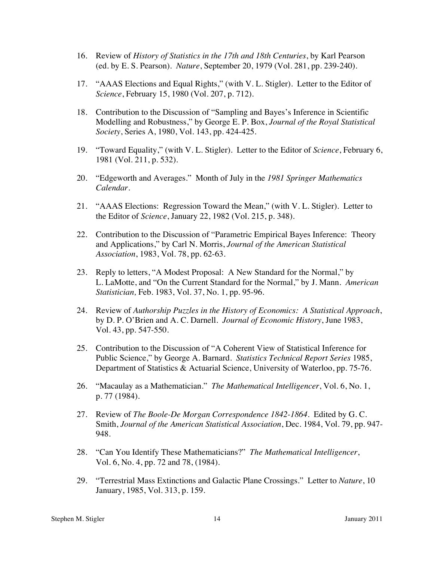- 16. Review of *History of Statistics in the 17th and 18th Centuries*, by Karl Pearson (ed. by E. S. Pearson). *Nature*, September 20, 1979 (Vol. 281, pp. 239-240).
- 17. "AAAS Elections and Equal Rights," (with V. L. Stigler). Letter to the Editor of *Science*, February 15, 1980 (Vol. 207, p. 712).
- 18. Contribution to the Discussion of "Sampling and Bayes's Inference in Scientific Modelling and Robustness," by George E. P. Box, *Journal of the Royal Statistical Society*, Series A, 1980, Vol. 143, pp. 424-425.
- 19. "Toward Equality," (with V. L. Stigler). Letter to the Editor of *Science*, February 6, 1981 (Vol. 211, p. 532).
- 20. "Edgeworth and Averages." Month of July in the *1981 Springer Mathematics Calendar.*
- 21. "AAAS Elections: Regression Toward the Mean," (with V. L. Stigler). Letter to the Editor of *Science*, January 22, 1982 (Vol. 215, p. 348).
- 22. Contribution to the Discussion of "Parametric Empirical Bayes Inference: Theory and Applications," by Carl N. Morris, *Journal of the American Statistical Association*, 1983, Vol. 78, pp. 62-63.
- 23. Reply to letters, "A Modest Proposal: A New Standard for the Normal," by L. LaMotte, and "On the Current Standard for the Normal," by J. Mann. *American Statistician,* Feb. 1983, Vol. 37, No. 1, pp. 95-96.
- 24. Review of *Authorship Puzzles in the History of Economics: A Statistical Approach*, by D. P. O'Brien and A. C. Darnell. *Journal of Economic History*, June 1983, Vol. 43, pp. 547-550.
- 25. Contribution to the Discussion of "A Coherent View of Statistical Inference for Public Science," by George A. Barnard. *Statistics Technical Report Series* 1985, Department of Statistics & Actuarial Science, University of Waterloo, pp. 75-76.
- 26. "Macaulay as a Mathematician." *The Mathematical Intelligencer*, Vol. 6, No. 1, p. 77 (1984).
- 27. Review of *The Boole-De Morgan Correspondence 1842-1864*. Edited by G. C. Smith, *Journal of the American Statistical Association*, Dec. 1984, Vol. 79, pp. 947- 948.
- 28. "Can You Identify These Mathematicians?" *The Mathematical Intelligencer*, Vol. 6, No. 4, pp. 72 and 78, (1984).
- 29. "Terrestrial Mass Extinctions and Galactic Plane Crossings." Letter to *Nature*, 10 January, 1985, Vol. 313, p. 159.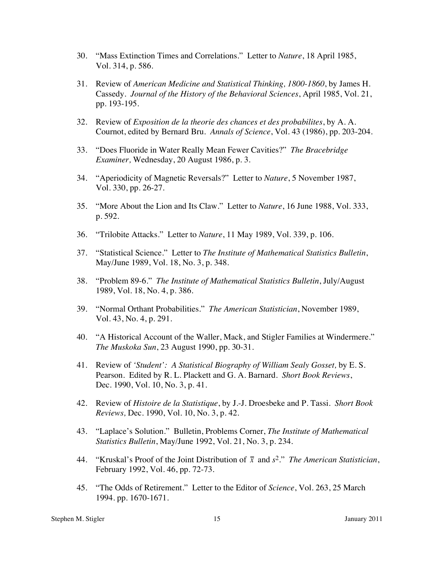- 30. "Mass Extinction Times and Correlations." Letter to *Nature*, 18 April 1985, Vol. 314, p. 586.
- 31. Review of *American Medicine and Statistical Thinking, 1800-1860*, by James H. Cassedy. *Journal of the History of the Behavioral Sciences*, April 1985, Vol. 21, pp. 193-195.
- 32. Review of *Exposition de la theorie des chances et des probabilites*, by A. A. Cournot, edited by Bernard Bru. *Annals of Science*, Vol. 43 (1986), pp. 203-204.
- 33. "Does Fluoride in Water Really Mean Fewer Cavities?" *The Bracebridge Examiner,* Wednesday, 20 August 1986, p. 3.
- 34. "Aperiodicity of Magnetic Reversals?" Letter to *Nature*, 5 November 1987, Vol. 330, pp. 26-27.
- 35. "More About the Lion and Its Claw." Letter to *Nature*, 16 June 1988, Vol. 333, p. 592.
- 36. "Trilobite Attacks." Letter to *Nature*, 11 May 1989, Vol. 339, p. 106.
- 37. "Statistical Science." Letter to *The Institute of Mathematical Statistics Bulletin*, May/June 1989, Vol. 18, No. 3, p. 348.
- 38. "Problem 89-6." *The Institute of Mathematical Statistics Bulletin*, July/August 1989, Vol. 18, No. 4, p. 386.
- 39. "Normal Orthant Probabilities." *The American Statistician*, November 1989, Vol. 43, No. 4, p. 291.
- 40. "A Historical Account of the Waller, Mack, and Stigler Families at Windermere." *The Muskoka Sun*, 23 August 1990, pp. 30-31.
- 41. Review of *'Student': A Statistical Biography of William Sealy Gosset,* by E. S. Pearson. Edited by R. L. Plackett and G. A. Barnard. *Short Book Reviews*, Dec. 1990, Vol. 10, No. 3, p. 41.
- 42. Review of *Histoire de la Statistique*, by J.-J. Droesbeke and P. Tassi. *Short Book Reviews,* Dec. 1990, Vol. 10, No. 3, p. 42.
- 43. "Laplace's Solution." Bulletin, Problems Corner, *The Institute of Mathematical Statistics Bulletin*, May/June 1992, Vol. 21, No. 3, p. 234.
- 44. "Kruskal's Proof of the Joint Distribution of *x* and *s*2." *The American Statistician*, February 1992, Vol. 46, pp. 72-73.
- 45. "The Odds of Retirement." Letter to the Editor of *Science*, Vol. 263, 25 March 1994. pp. 1670-1671.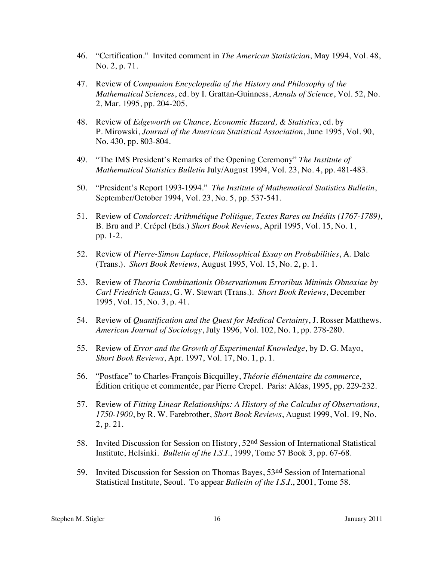- 46. "Certification." Invited comment in *The American Statistician*, May 1994, Vol. 48, No. 2, p. 71.
- 47. Review of *Companion Encyclopedia of the History and Philosophy of the Mathematical Sciences*, ed. by I. Grattan-Guinness, *Annals of Science*, Vol. 52, No. 2, Mar. 1995, pp. 204-205.
- 48. Review of *Edgeworth on Chance, Economic Hazard, & Statistics*, ed. by P. Mirowski, *Journal of the American Statistical Association*, June 1995, Vol. 90, No. 430, pp. 803-804.
- 49. "The IMS President's Remarks of the Opening Ceremony" *The Institute of Mathematical Statistics Bulletin* July/August 1994, Vol. 23, No. 4, pp. 481-483.
- 50. "President's Report 1993-1994." *The Institute of Mathematical Statistics Bulletin*, September/October 1994, Vol. 23, No. 5, pp. 537-541.
- 51. Review of *Condorcet: Arithmétique Politique, Textes Rares ou Inédits (1767-1789)*, B. Bru and P. Crépel (Eds.) *Short Book Reviews*, April 1995, Vol. 15, No. 1, pp. 1-2.
- 52. Review of *Pierre-Simon Laplace, Philosophical Essay on Probabilities*, A. Dale (Trans.). *Short Book Reviews,* August 1995, Vol. 15, No. 2, p. 1.
- 53. Review of *Theoria Combinationis Observationum Erroribus Minimis Obnoxiae by Carl Friedrich Gauss*, G. W. Stewart (Trans.). *Short Book Reviews*, December 1995, Vol. 15, No. 3, p. 41.
- 54. Review of *Quantification and the Quest for Medical Certainty*, J. Rosser Matthews. *American Journal of Sociology*, July 1996, Vol. 102, No. 1, pp. 278-280.
- 55. Review of *Error and the Growth of Experimental Knowledge*, by D. G. Mayo, *Short Book Reviews*, Apr. 1997, Vol. 17, No. 1, p. 1.
- 56. "Postface" to Charles-François Bicquilley, *Théorie élémentaire du commerce,* Édition critique et commentée, par Pierre Crepel. Paris: Aléas, 1995, pp. 229-232.
- 57. Review of *Fitting Linear Relationships: A History of the Calculus of Observations, 1750-1900*, by R. W. Farebrother, *Short Book Reviews*, August 1999, Vol. 19, No. 2, p. 21.
- 58. Invited Discussion for Session on History, 52nd Session of International Statistical Institute, Helsinki. *Bulletin of the I.S.I*., 1999, Tome 57 Book 3, pp. 67-68.
- 59. Invited Discussion for Session on Thomas Bayes, 53nd Session of International Statistical Institute, Seoul. To appear *Bulletin of the I.S.I*., 2001, Tome 58.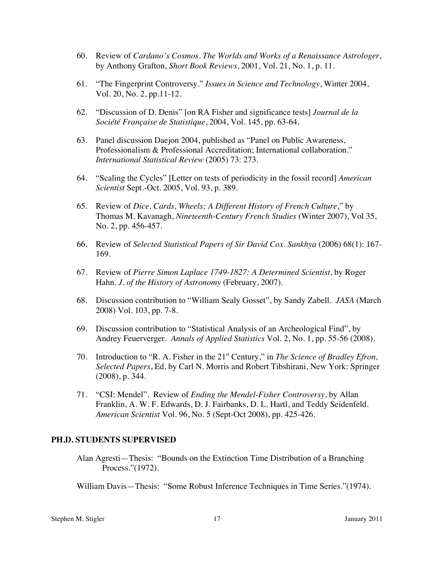- 60. Review of *Cardano's Cosmos. The Worlds and Works of a Renaissance Astrologer*, by Anthony Grafton, *Short Book Reviews*, 2001, Vol. 21, No. 1, p. 11.
- 61. "The Fingerprint Controversy." *Issues in Science and Technology*, Winter 2004, Vol. 20, No. 2, pp.11-12.
- 62. "Discussion of D. Denis" [on RA Fisher and significance tests] *Journal de la Société Française de Statistique*, 2004, Vol. 145, pp. 63-64.
- 63. Panel discussion Daejon 2004, published as "Panel on Public Awareness, Professionalism & Professional Accreditation; International collaboration." *International Statistical Review* (2005) 73: 273.
- 64. "Scaling the Cycles" [Letter on tests of periodicity in the fossil record] *American Scientist* Sept.-Oct. 2005, Vol. 93, p. 389.
- 65. Review of *Dice, Cards, Wheels; A Different History of French Culture*," by Thomas M. Kavanagh, *Nineteenth-Century French Studies* (Winter 2007), Vol 35, No. 2, pp. 456-457.
- 66. Review of *Selected Statistical Papers of Sir David Cox. Sankhya* (2006) 68(1): 167- 169.
- 67. Review of *Pierre Simon Laplace 1749-1827: A Determined Scientist*, by Roger Hahn. *J. of the History of Astronomy* (February, 2007).
- 68. Discussion contribution to "William Sealy Gosset", by Sandy Zabell. *JASA* (March 2008) Vol. 103, pp. 7-8.
- 69. Discussion contribution to "Statistical Analysis of an Archeological Find", by Andrey Feuerverger. *Annals of Applied Statistics* Vol. 2, No. 1, pp. 55-56 (2008).
- 70. Introduction to "R. A. Fisher in the 21<sup>st</sup> Century," in *The Science of Bradley Efron, Selected Papers*, Ed. by Carl N. Morris and Robert Tibshirani, New York: Springer (2008), p. 344.
- 71. "CSI: Mendel". Review of *Ending the Mendel-Fisher Controversy*, by Allan Franklin, A. W. F. Edwards, D. J. Fairbanks, D. L. Hartl, and Teddy Seidenfeld. *American Scientist* Vol. 96, No. 5 (Sept-Oct 2008), pp. 425-426.

#### **PH.D. STUDENTS SUPERVISED**

Alan Agresti—Thesis: "Bounds on the Extinction Time Distribution of a Branching Process."(1972).

William Davis—Thesis: "Some Robust Inference Techniques in Time Series."(1974).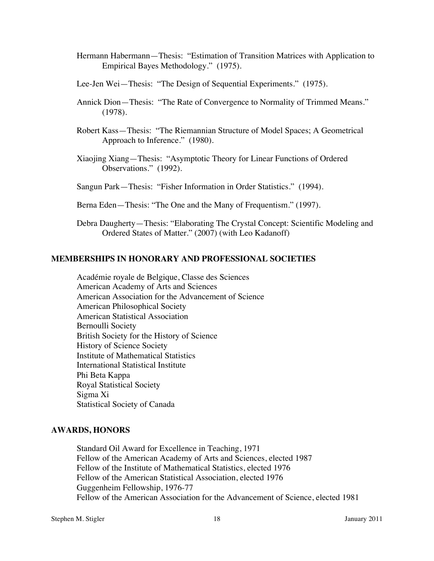- Hermann Habermann—Thesis: "Estimation of Transition Matrices with Application to Empirical Bayes Methodology." (1975).
- Lee-Jen Wei—Thesis: "The Design of Sequential Experiments." (1975).
- Annick Dion—Thesis: "The Rate of Convergence to Normality of Trimmed Means." (1978).
- Robert Kass—Thesis: "The Riemannian Structure of Model Spaces; A Geometrical Approach to Inference." (1980).
- Xiaojing Xiang—Thesis: "Asymptotic Theory for Linear Functions of Ordered Observations." (1992).
- Sangun Park—Thesis: "Fisher Information in Order Statistics." (1994).
- Berna Eden—Thesis: "The One and the Many of Frequentism." (1997).
- Debra Daugherty—Thesis: "Elaborating The Crystal Concept: Scientific Modeling and Ordered States of Matter." (2007) (with Leo Kadanoff)

### **MEMBERSHIPS IN HONORARY AND PROFESSIONAL SOCIETIES**

Académie royale de Belgique, Classe des Sciences American Academy of Arts and Sciences American Association for the Advancement of Science American Philosophical Society American Statistical Association Bernoulli Society British Society for the History of Science History of Science Society Institute of Mathematical Statistics International Statistical Institute Phi Beta Kappa Royal Statistical Society Sigma Xi Statistical Society of Canada

# **AWARDS, HONORS**

Standard Oil Award for Excellence in Teaching, 1971 Fellow of the American Academy of Arts and Sciences, elected 1987 Fellow of the Institute of Mathematical Statistics, elected 1976 Fellow of the American Statistical Association, elected 1976 Guggenheim Fellowship, 1976-77 Fellow of the American Association for the Advancement of Science, elected 1981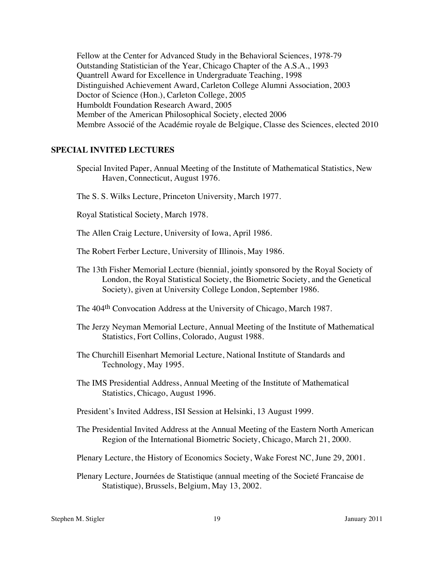Fellow at the Center for Advanced Study in the Behavioral Sciences, 1978-79 Outstanding Statistician of the Year, Chicago Chapter of the A.S.A., 1993 Quantrell Award for Excellence in Undergraduate Teaching, 1998 Distinguished Achievement Award, Carleton College Alumni Association, 2003 Doctor of Science (Hon.), Carleton College, 2005 Humboldt Foundation Research Award, 2005 Member of the American Philosophical Society, elected 2006 Membre Associé of the Académie royale de Belgique, Classe des Sciences, elected 2010

### **SPECIAL INVITED LECTURES**

- Special Invited Paper, Annual Meeting of the Institute of Mathematical Statistics, New Haven, Connecticut, August 1976.
- The S. S. Wilks Lecture, Princeton University, March 1977.

Royal Statistical Society, March 1978.

The Allen Craig Lecture, University of Iowa, April 1986.

- The Robert Ferber Lecture, University of Illinois, May 1986.
- The 13th Fisher Memorial Lecture (biennial, jointly sponsored by the Royal Society of London, the Royal Statistical Society, the Biometric Society, and the Genetical Society), given at University College London, September 1986.
- The 404th Convocation Address at the University of Chicago, March 1987.
- The Jerzy Neyman Memorial Lecture, Annual Meeting of the Institute of Mathematical Statistics, Fort Collins, Colorado, August 1988.
- The Churchill Eisenhart Memorial Lecture, National Institute of Standards and Technology, May 1995.
- The IMS Presidential Address, Annual Meeting of the Institute of Mathematical Statistics, Chicago, August 1996.
- President's Invited Address, ISI Session at Helsinki, 13 August 1999.
- The Presidential Invited Address at the Annual Meeting of the Eastern North American Region of the International Biometric Society, Chicago, March 21, 2000.
- Plenary Lecture, the History of Economics Society, Wake Forest NC, June 29, 2001.
- Plenary Lecture, Journées de Statistique (annual meeting of the Societé Francaise de Statistique), Brussels, Belgium, May 13, 2002.